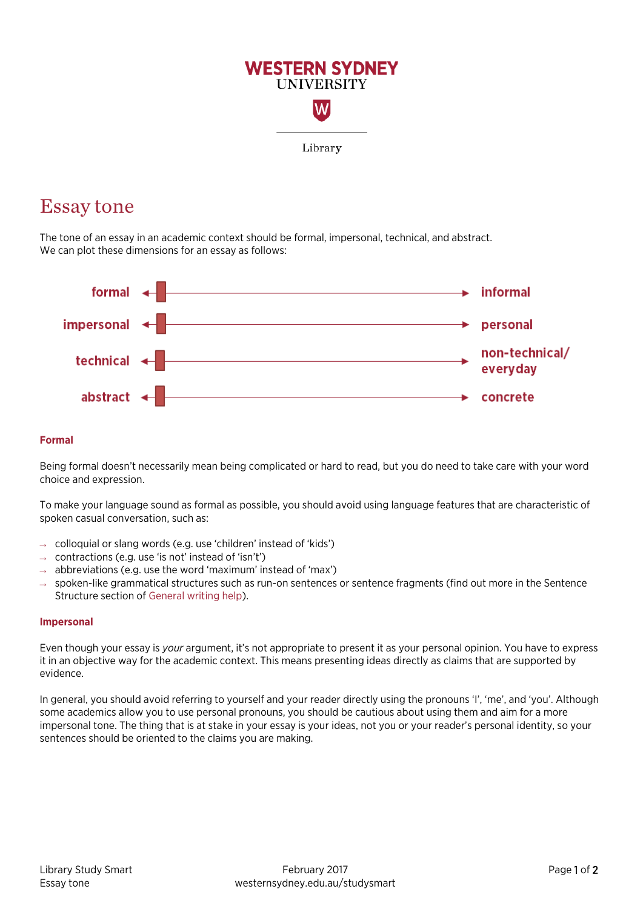

# Essay tone

The tone of an essay in an academic context should be formal, impersonal, technical, and abstract. We can plot these dimensions for an essay as follows:



## **Formal**

Being formal doesn't necessarily mean being complicated or hard to read, but you do need to take care with your word choice and expression.

To make your language sound as formal as possible, you should avoid using language features that are characteristic of spoken casual conversation, such as:

- $\rightarrow$  colloquial or slang words (e.g. use 'children' instead of 'kids')
- $\rightarrow$  contractions (e.g. use 'is not' instead of 'isn't')
- $\rightarrow$  abbreviations (e.g. use the word 'maximum' instead of 'max')
- $\rightarrow$  spoken-like grammatical structures such as run-on sentences or sentence fragments (find out more in the Sentence Structure section of [General writing help\)](http://westernsydney.edu.au/studysmart/home/assignment_help/writing).

#### **Impersonal**

Even though your essay is *your* argument, it's not appropriate to present it as your personal opinion. You have to express it in an objective way for the academic context. This means presenting ideas directly as claims that are supported by evidence.

In general, you should avoid referring to yourself and your reader directly using the pronouns 'I', 'me', and 'you'. Although some academics allow you to use personal pronouns, you should be cautious about using them and aim for a more impersonal tone. The thing that is at stake in your essay is your ideas, not you or your reader's personal identity, so your sentences should be oriented to the claims you are making.